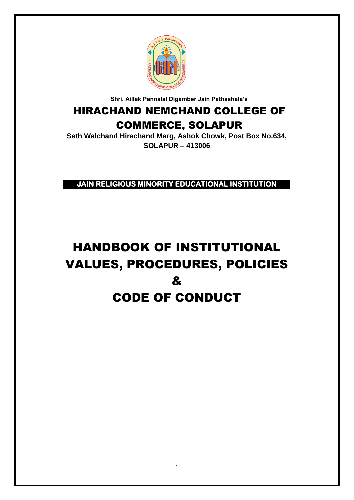

**Shri. Aillak Pannalal Digamber Jain Pathashala's**

# HIRACHAND NEMCHAND COLLEGE OF COMMERCE, SOLAPUR

**Seth Walchand Hirachand Marg, Ashok Chowk, Post Box No.634, SOLAPUR – 413006**

**JAIN RELIGIOUS MINORITY EDUCATIONAL INSTITUTION** 

# HANDBOOK OF INSTITUTIONAL VALUES, PROCEDURES, POLICIES & CODE OF CONDUCT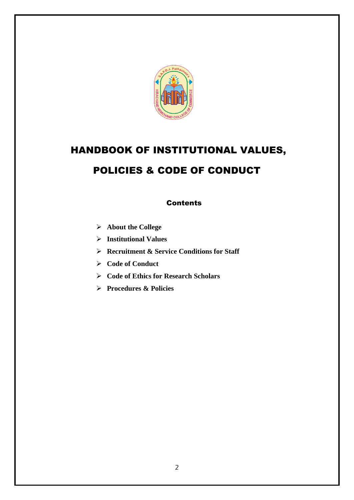

# HANDBOOK OF INSTITUTIONAL VALUES, POLICIES & CODE OF CONDUCT

## **Contents**

- **About the College**
- **Institutional Values**
- **Recruitment & Service Conditions for Staff**
- **Code of Conduct**
- **Code of Ethics for Research Scholars**
- **Procedures & Policies**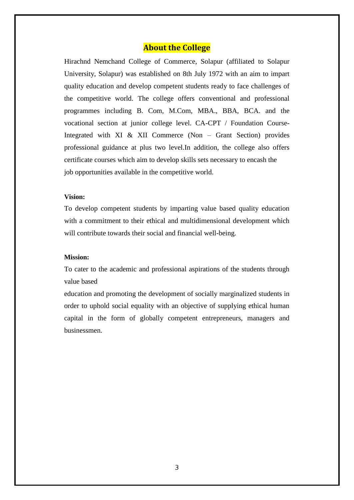### **About the College**

Hirachnd Nemchand College of Commerce, Solapur (affiliated to Solapur University, Solapur) was established on 8th July 1972 with an aim to impart quality education and develop competent students ready to face challenges of the competitive world. The college offers conventional and professional programmes including B. Com, M.Com, MBA., BBA, BCA. and the vocational section at junior college level. CA-CPT / Foundation Course-Integrated with XI & XII Commerce (Non – Grant Section) provides professional guidance at plus two level.In addition, the college also offers certificate courses which aim to develop skills sets necessary to encash the job opportunities available in the competitive world.

#### **Vision:**

To develop competent students by imparting value based quality education with a commitment to their ethical and multidimensional development which will contribute towards their social and financial well-being.

#### **Mission:**

To cater to the academic and professional aspirations of the students through value based

education and promoting the development of socially marginalized students in order to uphold social equality with an objective of supplying ethical human capital in the form of globally competent entrepreneurs, managers and businessmen.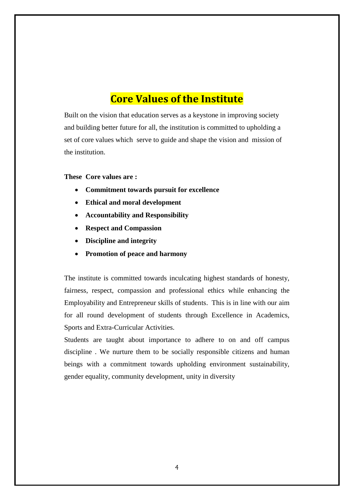# **Core Values of the Institute**

Built on the vision that education serves as a keystone in improving society and building better future for all, the institution is committed to upholding a set of core values which serve to guide and shape the vision and mission of the institution.

#### **These Core values are :**

- **Commitment towards pursuit for excellence**
- **Ethical and moral development**
- **Accountability and Responsibility**
- **Respect and Compassion**
- **Discipline and integrity**
- **Promotion of peace and harmony**

The institute is committed towards inculcating highest standards of honesty, fairness, respect, compassion and professional ethics while enhancing the Employability and Entrepreneur skills of students. This is in line with our aim for all round development of students through Excellence in Academics, Sports and Extra-Curricular Activities.

Students are taught about importance to adhere to on and off campus discipline . We nurture them to be socially responsible citizens and human beings with a commitment towards upholding environment sustainability, gender equality, community development, unity in diversity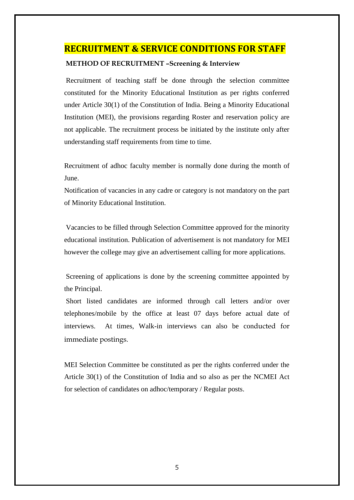### **RECRUITMENT & SERVICE CONDITIONS FOR STAFF**

#### **METHOD OF RECRUITMENT –Screening & Interview**

Recruitment of teaching staff be done through the selection committee constituted for the Minority Educational Institution as per rights conferred under Article 30(1) of the Constitution of India. Being a Minority Educational Institution (MEI), the provisions regarding Roster and reservation policy are not applicable. The recruitment process be initiated by the institute only after understanding staff requirements from time to time.

Recruitment of adhoc faculty member is normally done during the month of June.

Notification of vacancies in any cadre or category is not mandatory on the part of Minority Educational Institution.

Vacancies to be filled through Selection Committee approved for the minority educational institution. Publication of advertisement is not mandatory for MEI however the college may give an advertisement calling for more applications.

Screening of applications is done by the screening committee appointed by the Principal.

Short listed candidates are informed through call letters and/or over telephones/mobile by the office at least 07 days before actual date of interviews. At times, Walk-in interviews can also be conducted for immediate postings.

MEI Selection Committee be constituted as per the rights conferred under the Article 30(1) of the Constitution of India and so also as per the NCMEI Act for selection of candidates on adhoc/temporary / Regular posts.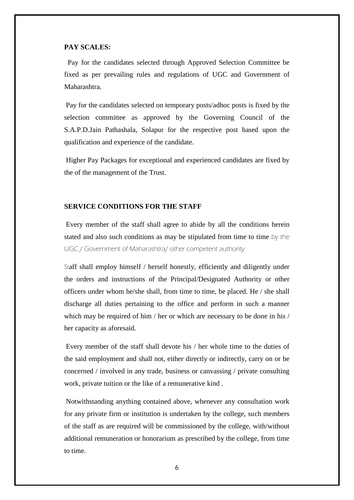#### **PAY SCALES:**

 Pay for the candidates selected through Approved Selection Committee be fixed as per prevailing rules and regulations of UGC and Government of Maharashtra.

Pay for the candidates selected on temporary posts/adhoc posts is fixed by the selection committee as approved by the Governing Council of the S.A.P.D.Jain Pathashala, Solapur for the respective post based upon the qualification and experience of the candidate.

Higher Pay Packages for exceptional and experienced candidates are fixed by the of the management of the Trust.

#### **SERVICE CONDITIONS FOR THE STAFF**

Every member of the staff shall agree to abide by all the conditions herein stated and also such conditions as may be stipulated from time to time by the UGC / Government of Maharashtra/ other competent authority

Staff shall employ himself / herself honestly, efficiently and diligently under the orders and instructions of the Principal/Designated Authority or other officers under whom he/she shall, from time to time, be placed. He / she shall discharge all duties pertaining to the office and perform in such a manner which may be required of him / her or which are necessary to be done in his / her capacity as aforesaid.

Every member of the staff shall devote his / her whole time to the duties of the said employment and shall not, either directly or indirectly, carry on or be concerned / involved in any trade, business or canvassing / private consulting work, private tuition or the like of a remunerative kind .

Notwithstanding anything contained above, whenever any consultation work for any private firm or institution is undertaken by the college, such members of the staff as are required will be commissioned by the college, with/without additional remuneration or honorarium as prescribed by the college, from time to time.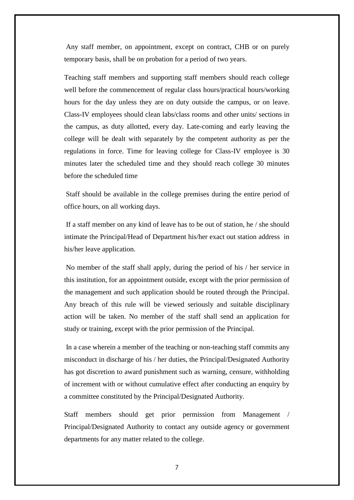Any staff member, on appointment, except on contract, CHB or on purely temporary basis, shall be on probation for a period of two years.

Teaching staff members and supporting staff members should reach college well before the commencement of regular class hours/practical hours/working hours for the day unless they are on duty outside the campus, or on leave. Class-IV employees should clean labs/class rooms and other units/ sections in the campus, as duty allotted, every day. Late-coming and early leaving the college will be dealt with separately by the competent authority as per the regulations in force. Time for leaving college for Class-IV employee is 30 minutes later the scheduled time and they should reach college 30 minutes before the scheduled time

Staff should be available in the college premises during the entire period of office hours, on all working days.

If a staff member on any kind of leave has to be out of station, he / she should intimate the Principal/Head of Department his/her exact out station address in his/her leave application.

No member of the staff shall apply, during the period of his / her service in this institution, for an appointment outside, except with the prior permission of the management and such application should be routed through the Principal. Any breach of this rule will be viewed seriously and suitable disciplinary action will be taken. No member of the staff shall send an application for study or training, except with the prior permission of the Principal.

In a case wherein a member of the teaching or non-teaching staff commits any misconduct in discharge of his / her duties, the Principal/Designated Authority has got discretion to award punishment such as warning, censure, withholding of increment with or without cumulative effect after conducting an enquiry by a committee constituted by the Principal/Designated Authority.

Staff members should get prior permission from Management / Principal/Designated Authority to contact any outside agency or government departments for any matter related to the college.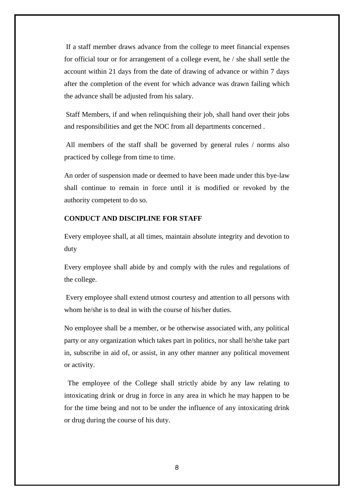If a staff member draws advance from the college to meet financial expenses for official tour or for arrangement of a college event, he / she shall settle the account within 21 days from the date of drawing of advance or within 7 days after the completion of the event for which advance was drawn failing which the advance shall be adjusted from his salary.

Staff Members, if and when relinquishing their job, shall hand over their jobs and responsibilities and get the NOC from all departments concerned .

All members of the staff shall be governed by general rules / norms also practiced by college from time to time.

An order of suspension made or deemed to have been made under this bye-law shall continue to remain in force until it is modified or revoked by the authority competent to do so.

#### **CONDUCT AND DISCIPLINE FOR STAFF**

Every employee shall, at all times, maintain absolute integrity and devotion to duty

Every employee shall abide by and comply with the rules and regulations of the college.

Every employee shall extend utmost courtesy and attention to all persons with whom he/she is to deal in with the course of his/her duties.

No employee shall be a member, or be otherwise associated with, any political party or any organization which takes part in politics, nor shall he/she take part in, subscribe in aid of, or assist, in any other manner any political movement or activity.

 The employee of the College shall strictly abide by any law relating to intoxicating drink or drug in force in any area in which he may happen to be for the time being and not to be under the influence of any intoxicating drink or drug during the course of his duty.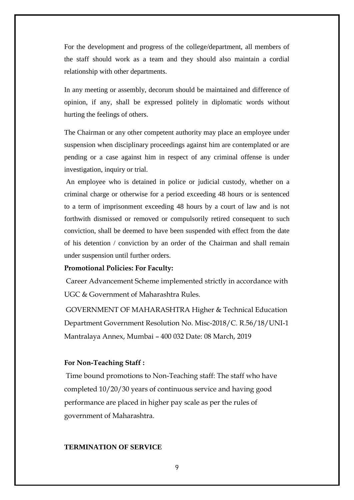For the development and progress of the college/department, all members of the staff should work as a team and they should also maintain a cordial relationship with other departments.

In any meeting or assembly, decorum should be maintained and difference of opinion, if any, shall be expressed politely in diplomatic words without hurting the feelings of others.

The Chairman or any other competent authority may place an employee under suspension when disciplinary proceedings against him are contemplated or are pending or a case against him in respect of any criminal offense is under investigation, inquiry or trial.

An employee who is detained in police or judicial custody, whether on a criminal charge or otherwise for a period exceeding 48 hours or is sentenced to a term of imprisonment exceeding 48 hours by a court of law and is not forthwith dismissed or removed or compulsorily retired consequent to such conviction, shall be deemed to have been suspended with effect from the date of his detention / conviction by an order of the Chairman and shall remain under suspension until further orders.

#### **Promotional Policies: For Faculty:**

Career Advancement Scheme implemented strictly in accordance with UGC & Government of Maharashtra Rules.

GOVERNMENT OF MAHARASHTRA Higher & Technical Education Department Government Resolution No. Misc-2018/C. R.56/18/UNI-1 Mantralaya Annex, Mumbai – 400 032 Date: 08 March, 2019

#### **For Non-Teaching Staff :**

Time bound promotions to Non-Teaching staff: The staff who have completed 10/20/30 years of continuous service and having good performance are placed in higher pay scale as per the rules of government of Maharashtra.

#### **TERMINATION OF SERVICE**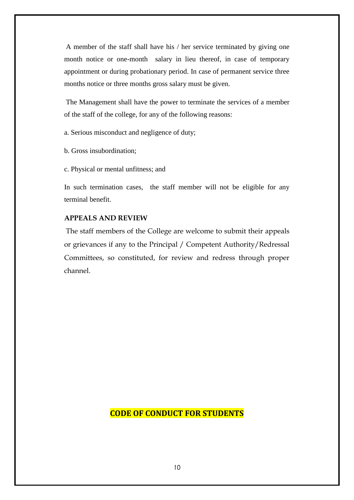A member of the staff shall have his / her service terminated by giving one month notice or one-month salary in lieu thereof, in case of temporary appointment or during probationary period. In case of permanent service three months notice or three months gross salary must be given.

The Management shall have the power to terminate the services of a member of the staff of the college, for any of the following reasons:

a. Serious misconduct and negligence of duty;

b. Gross insubordination;

c. Physical or mental unfitness; and

In such termination cases, the staff member will not be eligible for any terminal benefit.

#### **APPEALS AND REVIEW**

The staff members of the College are welcome to submit their appeals or grievances if any to the Principal / Competent Authority/Redressal Committees, so constituted, for review and redress through proper channel.

## **CODE OF CONDUCT FOR STUDENTS**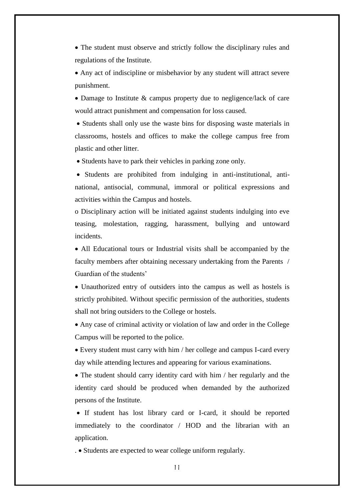• The student must observe and strictly follow the disciplinary rules and regulations of the Institute.

 Any act of indiscipline or misbehavior by any student will attract severe punishment.

• Damage to Institute & campus property due to negligence/lack of care would attract punishment and compensation for loss caused.

• Students shall only use the waste bins for disposing waste materials in classrooms, hostels and offices to make the college campus free from plastic and other litter.

• Students have to park their vehicles in parking zone only.

 Students are prohibited from indulging in anti-institutional, antinational, antisocial, communal, immoral or political expressions and activities within the Campus and hostels.

o Disciplinary action will be initiated against students indulging into eve teasing, molestation, ragging, harassment, bullying and untoward incidents.

 All Educational tours or Industrial visits shall be accompanied by the faculty members after obtaining necessary undertaking from the Parents / Guardian of the students'

 Unauthorized entry of outsiders into the campus as well as hostels is strictly prohibited. Without specific permission of the authorities, students shall not bring outsiders to the College or hostels.

 Any case of criminal activity or violation of law and order in the College Campus will be reported to the police.

 Every student must carry with him / her college and campus I-card every day while attending lectures and appearing for various examinations.

 The student should carry identity card with him / her regularly and the identity card should be produced when demanded by the authorized persons of the Institute.

 If student has lost library card or I-card, it should be reported immediately to the coordinator / HOD and the librarian with an application.

. Students are expected to wear college uniform regularly.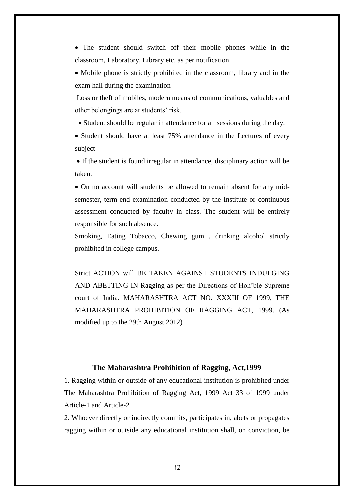The student should switch off their mobile phones while in the classroom, Laboratory, Library etc. as per notification.

 Mobile phone is strictly prohibited in the classroom, library and in the exam hall during the examination

Loss or theft of mobiles, modern means of communications, valuables and other belongings are at students' risk.

• Student should be regular in attendance for all sessions during the day.

• Student should have at least 75% attendance in the Lectures of every subject

 If the student is found irregular in attendance, disciplinary action will be taken.

 On no account will students be allowed to remain absent for any midsemester, term-end examination conducted by the Institute or continuous assessment conducted by faculty in class. The student will be entirely responsible for such absence.

Smoking, Eating Tobacco, Chewing gum , drinking alcohol strictly prohibited in college campus.

Strict ACTION will BE TAKEN AGAINST STUDENTS INDULGING AND ABETTING IN Ragging as per the Directions of Hon'ble Supreme court of India. MAHARASHTRA ACT NO. XXXIII OF 1999, THE MAHARASHTRA PROHIBITION OF RAGGING ACT, 1999. (As modified up to the 29th August 2012)

#### **The Maharashtra Prohibition of Ragging, Act,1999**

1. Ragging within or outside of any educational institution is prohibited under The Maharashtra Prohibition of Ragging Act, 1999 Act 33 of 1999 under Article-1 and Article-2

2. Whoever directly or indirectly commits, participates in, abets or propagates ragging within or outside any educational institution shall, on conviction, be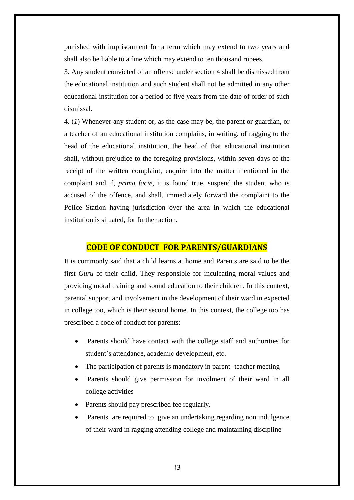punished with imprisonment for a term which may extend to two years and shall also be liable to a fine which may extend to ten thousand rupees.

3. Any student convicted of an offense under section 4 shall be dismissed from the educational institution and such student shall not be admitted in any other educational institution for a period of five years from the date of order of such dismissal.

4. (*1*) Whenever any student or, as the case may be, the parent or guardian, or a teacher of an educational institution complains, in writing, of ragging to the head of the educational institution, the head of that educational institution shall, without prejudice to the foregoing provisions, within seven days of the receipt of the written complaint, enquire into the matter mentioned in the complaint and if, *prima facie,* it is found true, suspend the student who is accused of the offence, and shall, immediately forward the complaint to the Police Station having jurisdiction over the area in which the educational institution is situated, for further action.

#### **CODE OF CONDUCT FOR PARENTS/GUARDIANS**

It is commonly said that a child learns at home and Parents are said to be the first *Guru* of their child. They responsible for inculcating moral values and providing moral training and sound education to their children. In this context, parental support and involvement in the development of their ward in expected in college too, which is their second home. In this context, the college too has prescribed a code of conduct for parents:

- Parents should have contact with the college staff and authorities for student's attendance, academic development, etc.
- The participation of parents is mandatory in parent-teacher meeting
- Parents should give permission for involment of their ward in all college activities
- Parents should pay prescribed fee regularly.
- Parents are required to give an undertaking regarding non indulgence of their ward in ragging attending college and maintaining discipline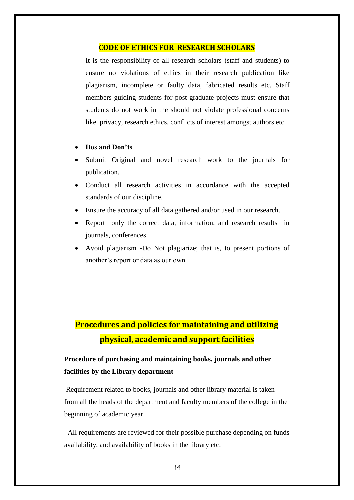#### **CODE OF ETHICS FOR RESEARCH SCHOLARS**

It is the responsibility of all research scholars (staff and students) to ensure no violations of ethics in their research publication like plagiarism, incomplete or faulty data, fabricated results etc. Staff members guiding students for post graduate projects must ensure that students do not work in the should not violate professional concerns like privacy, research ethics, conflicts of interest amongst authors etc.

#### **Dos and Don'ts**

- Submit Original and novel research work to the journals for publication.
- Conduct all research activities in accordance with the accepted standards of our discipline.
- Ensure the accuracy of all data gathered and/or used in our research.
- Report only the correct data, information, and research results in journals, conferences.
- Avoid plagiarism **-**Do Not plagiarize; that is, to present portions of another's report or data as our own

# **Procedures and policies for maintaining and utilizing physical, academic and support facilities**

## **Procedure of purchasing and maintaining books, journals and other facilities by the Library department**

Requirement related to books, journals and other library material is taken from all the heads of the department and faculty members of the college in the beginning of academic year.

 All requirements are reviewed for their possible purchase depending on funds availability, and availability of books in the library etc.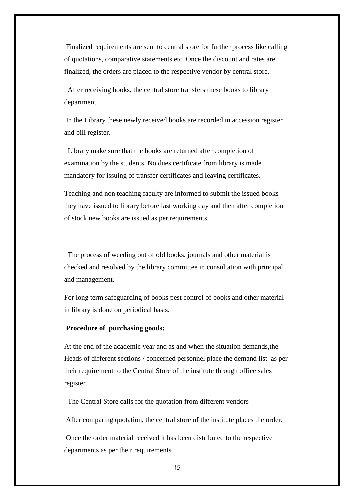Finalized requirements are sent to central store for further process like calling of quotations, comparative statements etc. Once the discount and rates are finalized, the orders are placed to the respective vendor by central store.

 After receiving books, the central store transfers these books to library department.

In the Library these newly received books are recorded in accession register and bill register.

 Library make sure that the books are returned after completion of examination by the students, No dues certificate from library is made mandatory for issuing of transfer certificates and leaving certificates.

Teaching and non teaching faculty are informed to submit the issued books they have issued to library before last working day and then after completion of stock new books are issued as per requirements.

 The process of weeding out of old books, journals and other material is checked and resolved by the library committee in consultation with principal and management.

For long term safeguarding of books pest control of books and other material in library is done on periodical basis.

#### **Procedure of purchasing goods:**

At the end of the academic year and as and when the situation demands,the Heads of different sections / concerned personnel place the demand list as per their requirement to the Central Store of the institute through office sales register.

The Central Store calls for the quotation from different vendors

After comparing quotation, the central store of the institute places the order.

Once the order material received it has been distributed to the respective departments as per their requirements.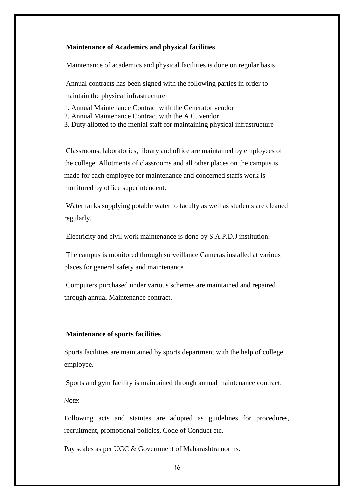#### **Maintenance of Academics and physical facilities**

Maintenance of academics and physical facilities is done on regular basis

Annual contracts has been signed with the following parties in order to maintain the physical infrastructure

- 1. Annual Maintenance Contract with the Generator vendor
- 2. Annual Maintenance Contract with the A.C. vendor
- 3. Duty allotted to the menial staff for maintaining physical infrastructure

Classrooms, laboratories, library and office are maintained by employees of the college. Allotments of classrooms and all other places on the campus is made for each employee for maintenance and concerned staffs work is monitored by office superintendent.

Water tanks supplying potable water to faculty as well as students are cleaned regularly.

Electricity and civil work maintenance is done by S.A.P.D.J institution.

The campus is monitored through surveillance Cameras installed at various places for general safety and maintenance

Computers purchased under various schemes are maintained and repaired through annual Maintenance contract.

#### **Maintenance of sports facilities**

Sports facilities are maintained by sports department with the help of college employee.

Sports and gym facility is maintained through annual maintenance contract.

Note:

Following acts and statutes are adopted as guidelines for procedures, recruitment, promotional policies, Code of Conduct etc.

Pay scales as per UGC & Government of Maharashtra norms.